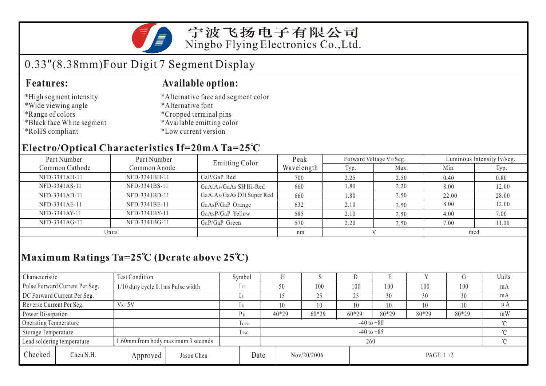

## 宁波飞扬电子有限公司 Ningbo Flying Electronics Co.,Ltd.

# 0.33"(8.38mm)Four Digit 7 Segment Display

### **Features: Available option:**

- \*High segment intensity
- \*Wide viewing angle
- \*Range of colors
- \*Black face White segment
- \*RoHS compliant
- \*Alternative face and segment color
- \*Alternative font
- \*Cropped terminal pins
- \*Available emitting color
- \*Low current version

### **Electro/Optical Characteristics If=20mA Ta=25 C**

| Part Number<br>Part Number |               | <b>Emitting Color</b>    | Peak       | Forward Voltage VF/Seg. |      | Luminous Intensity Iv/seg. |       |  |
|----------------------------|---------------|--------------------------|------------|-------------------------|------|----------------------------|-------|--|
| Common Cathode             | Common Anode  |                          | Wavelength | Typ.                    | Max. | Min.                       | Typ.  |  |
| NFD-3341AH-11              | NFD-3341BH-11 | $GaP/GaP$ Red            | 700        | 2.25                    | 2.50 | 0.40                       | 0.80  |  |
| NFD-3341AS-11              | NFD-3341BS-11 | GaAlAs/GaAs SH Hi-Red    | 660        | 1.80                    | 2.20 | 8.00                       | 12.00 |  |
| NFD-3341AD-11              | NFD-3341BD-11 | GaAlAs/GaAs DH Super Red | 660        | 1.80                    | 2.50 | 22.00                      | 28.00 |  |
| NFD-3341AE-11              | NFD-3341BE-11 | GaAsP/GaP Orange         | 632        | 2.10                    | 2.50 | 8.00                       | 12.00 |  |
| NFD-3341AY-11              | NFD-3341BY-11 | GaAsP/GaP Yellow         | 585        | 2.10                    | 2.50 | 4.00                       | 7.00  |  |
| NFD-3341AG-11              | NFD-3341BG-11 | GaP/GaP Green            | 570        | 2.20                    | 2.50 | 7.00                       | 11.00 |  |
| Units                      |               |                          | nm         |                         |      | mcd                        |       |  |

# **Maximum Ratings Ta=25 C (Derate above 25 C)**

| Characteristic                 |                                        | Test Condition                       |                 | Symbol         |                |       | ×.          |         | Е         |       |       | Units |  |
|--------------------------------|----------------------------------------|--------------------------------------|-----------------|----------------|----------------|-------|-------------|---------|-----------|-------|-------|-------|--|
| Pulse Forward Current Per Seg. |                                        | $1/10$ duty cycle 0.1 ms Pulse width |                 | $1$ FP         |                | 50    | 100         | 100     | 100       | 100   | 100   | mA    |  |
| DC Forward Current Per Seg.    |                                        |                                      |                 |                |                |       | 25          | 25      | 30        | 30    | 30    | mA    |  |
|                                | Reverse Current Per Seg.<br>$V_R = 5V$ |                                      | lR              |                | 10             | 10    | 10          | 10      | 10        | 10    | μA    |       |  |
| Power Dissipation              |                                        |                                      |                 | P <sub>D</sub> |                | 40*29 | 60*29       | $60*29$ | 80*29     | 80*29 | 80*29 | mW    |  |
| Operating Temperature          |                                        |                                      | TOPR            |                | $-40$ to $+80$ |       |             |         |           |       |       |       |  |
| Storage Temperature            |                                        |                                      | T <sub>sg</sub> |                | $-40$ to $+85$ |       |             |         |           |       |       |       |  |
| Lead soldering temperature     | 1.60mm from body maximum 3 seconds     |                                      |                 |                |                | 260   |             |         |           |       |       |       |  |
| Checked                        | Chen N.H.                              | Approved                             | Jason Chen      |                | Date           |       | Nov/20/2006 |         | PAGE 1 /2 |       |       |       |  |